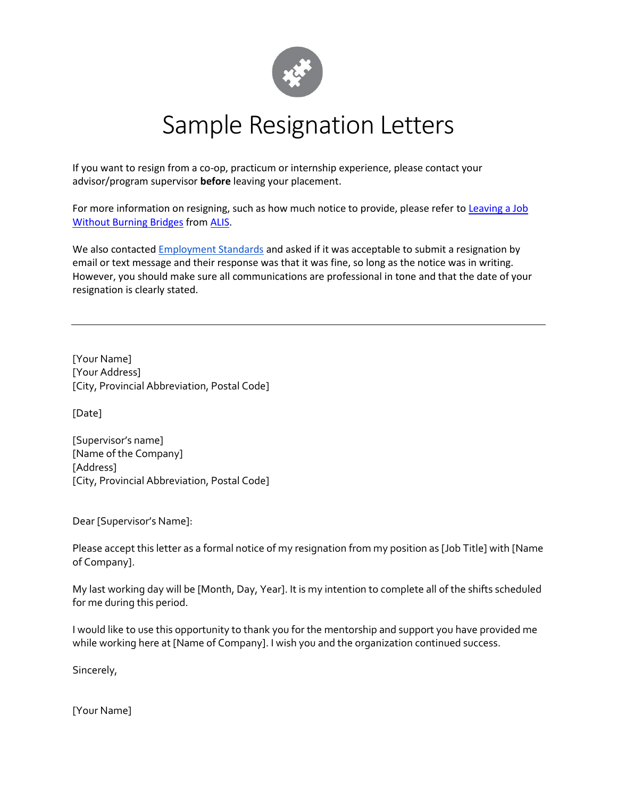

## Sample Resignation Letters

If you want to resign from a co-op, practicum or internship experience, please contact your advisor/program supervisor **before** leaving your placement.

For more information on resigning, such as how much notice to provide, please refer to Leaving a Job [Without Burning Bridges](https://alis.alberta.ca/look-for-work/job-loss/leaving-a-job-without-burning-bridges/) fro[m ALIS.](https://alis.alberta.ca/)

We also contacted **Employment Standards** and asked if it was acceptable to submit a resignation by email or text message and their response was that it was fine, so long as the notice was in writing. However, you should make sure all communications are professional in tone and that the date of your resignation is clearly stated.

[Your Name] [Your Address] [City, Provincial Abbreviation, Postal Code]

[Date]

[Supervisor's name] [Name of the Company] [Address] [City, Provincial Abbreviation, Postal Code]

Dear [Supervisor's Name]:

Please accept this letter as a formal notice of my resignation from my position as [Job Title] with [Name of Company].

My last working day will be [Month, Day, Year]. It is my intention to complete all of the shifts scheduled for me during this period.

I would like to use this opportunity to thank you for the mentorship and support you have provided me while working here at [Name of Company]. I wish you and the organization continued success.

Sincerely,

[Your Name]